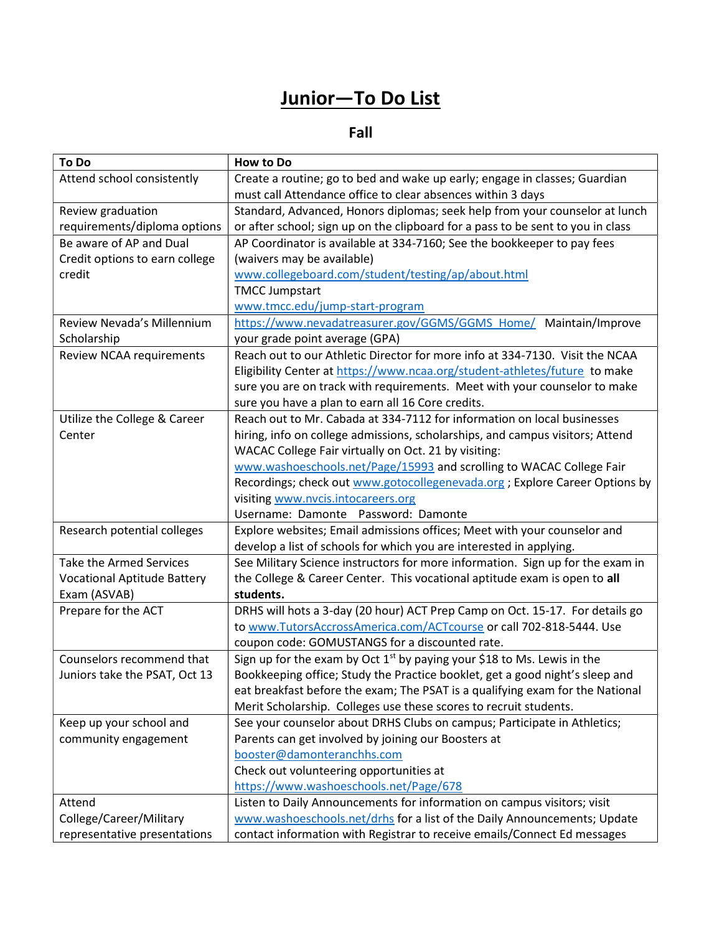## Junior—To Do List

## Fall

| To Do                              | How to Do                                                                           |
|------------------------------------|-------------------------------------------------------------------------------------|
| Attend school consistently         | Create a routine; go to bed and wake up early; engage in classes; Guardian          |
|                                    | must call Attendance office to clear absences within 3 days                         |
| Review graduation                  | Standard, Advanced, Honors diplomas; seek help from your counselor at lunch         |
| requirements/diploma options       | or after school; sign up on the clipboard for a pass to be sent to you in class     |
| Be aware of AP and Dual            | AP Coordinator is available at 334-7160; See the bookkeeper to pay fees             |
| Credit options to earn college     | (waivers may be available)                                                          |
| credit                             | www.collegeboard.com/student/testing/ap/about.html                                  |
|                                    | <b>TMCC Jumpstart</b>                                                               |
|                                    | www.tmcc.edu/jump-start-program                                                     |
| Review Nevada's Millennium         | https://www.nevadatreasurer.gov/GGMS/GGMS Home/ Maintain/Improve                    |
| Scholarship                        | your grade point average (GPA)                                                      |
| Review NCAA requirements           | Reach out to our Athletic Director for more info at 334-7130. Visit the NCAA        |
|                                    | Eligibility Center at https://www.ncaa.org/student-athletes/future to make          |
|                                    | sure you are on track with requirements. Meet with your counselor to make           |
|                                    | sure you have a plan to earn all 16 Core credits.                                   |
| Utilize the College & Career       | Reach out to Mr. Cabada at 334-7112 for information on local businesses             |
| Center                             | hiring, info on college admissions, scholarships, and campus visitors; Attend       |
|                                    | WACAC College Fair virtually on Oct. 21 by visiting:                                |
|                                    | www.washoeschools.net/Page/15993 and scrolling to WACAC College Fair                |
|                                    | Recordings; check out www.gotocollegenevada.org ; Explore Career Options by         |
|                                    | visiting www.nvcis.intocareers.org                                                  |
|                                    | Username: Damonte Password: Damonte                                                 |
| Research potential colleges        | Explore websites; Email admissions offices; Meet with your counselor and            |
|                                    | develop a list of schools for which you are interested in applying.                 |
| <b>Take the Armed Services</b>     | See Military Science instructors for more information. Sign up for the exam in      |
| <b>Vocational Aptitude Battery</b> | the College & Career Center. This vocational aptitude exam is open to all           |
| Exam (ASVAB)                       | students.                                                                           |
| Prepare for the ACT                | DRHS will hots a 3-day (20 hour) ACT Prep Camp on Oct. 15-17. For details go        |
|                                    | to www.TutorsAccrossAmerica.com/ACTcourse or call 702-818-5444. Use                 |
|                                    | coupon code: GOMUSTANGS for a discounted rate.                                      |
| Counselors recommend that          | Sign up for the exam by Oct 1 <sup>st</sup> by paying your \$18 to Ms. Lewis in the |
| Juniors take the PSAT, Oct 13      | Bookkeeping office; Study the Practice booklet, get a good night's sleep and        |
|                                    | eat breakfast before the exam; The PSAT is a qualifying exam for the National       |
|                                    | Merit Scholarship. Colleges use these scores to recruit students.                   |
| Keep up your school and            | See your counselor about DRHS Clubs on campus; Participate in Athletics;            |
| community engagement               | Parents can get involved by joining our Boosters at                                 |
|                                    | booster@damonteranchhs.com                                                          |
|                                    | Check out volunteering opportunities at                                             |
|                                    | https://www.washoeschools.net/Page/678                                              |
| Attend                             | Listen to Daily Announcements for information on campus visitors; visit             |
| College/Career/Military            | www.washoeschools.net/drhs for a list of the Daily Announcements; Update            |
| representative presentations       | contact information with Registrar to receive emails/Connect Ed messages            |